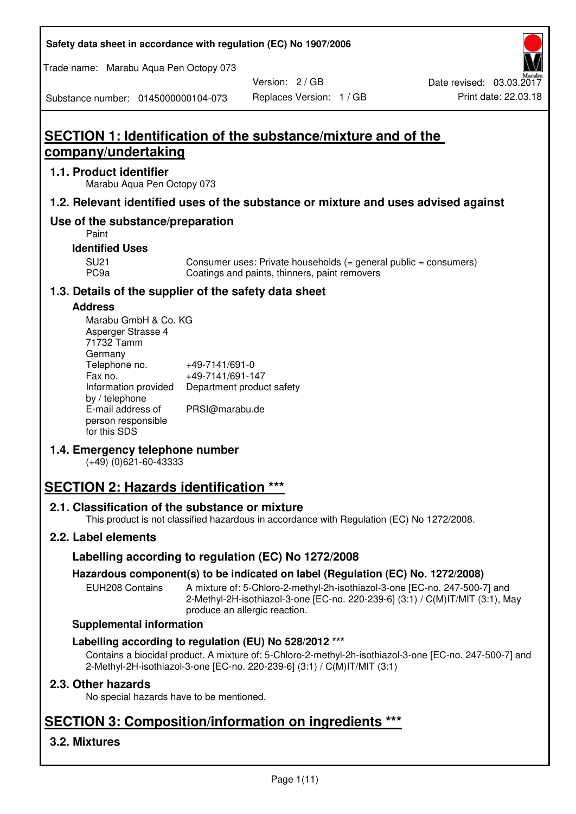**Safety data sheet in accordance with regulation (EC) No 1907/2006** 

Trade name: Marabu Aqua Pen Octopy 073

Version: 2 / GB

Substance number: 0145000000104-073

# **SECTION 1: Identification of the substance/mixture and of the company/undertaking**

## **1.1. Product identifier**

Marabu Aqua Pen Octopy 073

## **1.2. Relevant identified uses of the substance or mixture and uses advised against**

## **Use of the substance/preparation**

Paint

## **Identified Uses**

SU21 Consumer uses: Private households (= general public = consumers)<br>PC9a Coatings and paints, thinners, paint removers Coatings and paints, thinners, paint removers

## **1.3. Details of the supplier of the safety data sheet**

## **Address**

| Marabu GmbH & Co. KG |                           |
|----------------------|---------------------------|
| Asperger Strasse 4   |                           |
| 71732 Tamm           |                           |
| Germany              |                           |
| Telephone no.        | +49-7141/691-0            |
| Fax no.              | +49-7141/691-147          |
| Information provided | Department product safety |
| by / telephone       |                           |
| E-mail address of    | PRSI@marabu.de            |
| person responsible   |                           |
| for this SDS         |                           |

## **1.4. Emergency telephone number**

(+49) (0)621-60-43333

# **SECTION 2: Hazards identification \*\*\***

## **2.1. Classification of the substance or mixture**

This product is not classified hazardous in accordance with Regulation (EC) No 1272/2008.

## **2.2. Label elements**

## **Labelling according to regulation (EC) No 1272/2008**

## **Hazardous component(s) to be indicated on label (Regulation (EC) No. 1272/2008)**

EUH208 Contains A mixture of: 5-Chloro-2-methyl-2h-isothiazol-3-one [EC-no. 247-500-7] and 2-Methyl-2H-isothiazol-3-one [EC-no. 220-239-6] (3:1) / C(M)IT/MIT (3:1), May produce an allergic reaction.

#### **Supplemental information**

## **Labelling according to regulation (EU) No 528/2012 \*\*\***

Contains a biocidal product. A mixture of: 5-Chloro-2-methyl-2h-isothiazol-3-one [EC-no. 247-500-7] and 2-Methyl-2H-isothiazol-3-one [EC-no. 220-239-6] (3:1) / C(M)IT/MIT (3:1)

## **2.3. Other hazards**

No special hazards have to be mentioned.

# **SECTION 3: Composition/information on ingredients \*\*\***

## **3.2. Mixtures**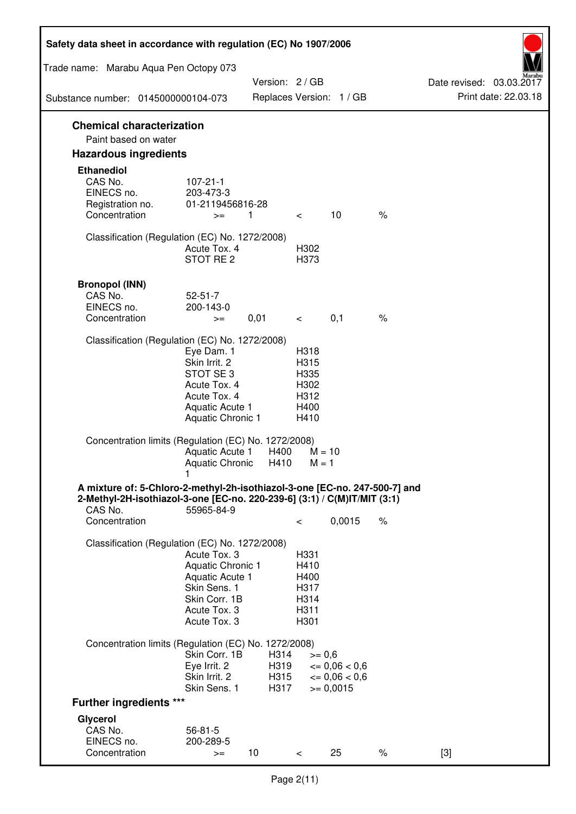| Safety data sheet in accordance with regulation (EC) No 1907/2006                                                                                                 |                                                                                                                         |                              |                                                      |                                                                  |      |                                                  |
|-------------------------------------------------------------------------------------------------------------------------------------------------------------------|-------------------------------------------------------------------------------------------------------------------------|------------------------------|------------------------------------------------------|------------------------------------------------------------------|------|--------------------------------------------------|
| Trade name: Marabu Aqua Pen Octopy 073                                                                                                                            |                                                                                                                         |                              |                                                      |                                                                  |      |                                                  |
| Substance number: 0145000000104-073                                                                                                                               |                                                                                                                         | Version: 2 / GB              |                                                      | Replaces Version: 1 / GB                                         |      | Date revised: 03.03.2017<br>Print date: 22.03.18 |
| <b>Chemical characterization</b>                                                                                                                                  |                                                                                                                         |                              |                                                      |                                                                  |      |                                                  |
| Paint based on water                                                                                                                                              |                                                                                                                         |                              |                                                      |                                                                  |      |                                                  |
| <b>Hazardous ingredients</b>                                                                                                                                      |                                                                                                                         |                              |                                                      |                                                                  |      |                                                  |
| <b>Ethanediol</b><br>CAS No.<br>EINECS no.<br>Registration no.<br>Concentration                                                                                   | $107 - 21 - 1$<br>203-473-3<br>01-2119456816-28<br>$>=$                                                                 | 1                            | $\overline{\phantom{0}}$                             | 10                                                               | $\%$ |                                                  |
| Classification (Regulation (EC) No. 1272/2008)                                                                                                                    | Acute Tox. 4<br>STOT RE 2                                                                                               |                              | H302<br>H373                                         |                                                                  |      |                                                  |
| <b>Bronopol (INN)</b><br>CAS No.<br>EINECS no.<br>Concentration                                                                                                   | $52 - 51 - 7$<br>200-143-0<br>$>=$                                                                                      | 0,01                         | $\lt$ $\lt$                                          | 0,1                                                              | $\%$ |                                                  |
| Classification (Regulation (EC) No. 1272/2008)                                                                                                                    |                                                                                                                         |                              |                                                      |                                                                  |      |                                                  |
|                                                                                                                                                                   | Eye Dam. 1<br>Skin Irrit. 2<br>STOT SE 3<br>Acute Tox. 4<br>Acute Tox. 4<br>Aquatic Acute 1<br><b>Aquatic Chronic 1</b> |                              | H318<br>H315<br>H335<br>H302<br>H312<br>H400<br>H410 |                                                                  |      |                                                  |
| Concentration limits (Regulation (EC) No. 1272/2008)                                                                                                              | Aquatic Acute 1<br>Aquatic Chronic H410                                                                                 | H400                         | $M = 10$<br>$M = 1$                                  |                                                                  |      |                                                  |
| A mixture of: 5-Chloro-2-methyl-2h-isothiazol-3-one [EC-no. 247-500-7] and<br>2-Methyl-2H-isothiazol-3-one [EC-no. 220-239-6] (3:1) / C(M)IT/MIT (3:1)<br>CAS No. | 55965-84-9                                                                                                              |                              |                                                      |                                                                  |      |                                                  |
| Concentration                                                                                                                                                     |                                                                                                                         |                              | $\,<\,$                                              | 0,0015                                                           | $\%$ |                                                  |
| Classification (Regulation (EC) No. 1272/2008)                                                                                                                    | Acute Tox. 3<br>Aquatic Chronic 1<br>Aquatic Acute 1<br>Skin Sens. 1<br>Skin Corr. 1B<br>Acute Tox. 3<br>Acute Tox. 3   |                              | H331<br>H410<br>H400<br>H317<br>H314<br>H311<br>H301 |                                                                  |      |                                                  |
| Concentration limits (Regulation (EC) No. 1272/2008)                                                                                                              |                                                                                                                         |                              |                                                      |                                                                  |      |                                                  |
|                                                                                                                                                                   | Skin Corr. 1B<br>Eye Irrit. 2<br>Skin Irrit. 2<br>Skin Sens. 1                                                          | H314<br>H319<br>H315<br>H317 | $>= 0,6$                                             | $\epsilon = 0.06 < 0.6$<br>$\epsilon = 0.06 < 0.6$<br>$= 0,0015$ |      |                                                  |
| <b>Further ingredients ***</b>                                                                                                                                    |                                                                                                                         |                              |                                                      |                                                                  |      |                                                  |
| Glycerol<br>CAS No.<br>EINECS no.<br>Concentration                                                                                                                | $56 - 81 - 5$<br>200-289-5<br>$>=$                                                                                      | 10 <sup>°</sup>              | $\,<\,$                                              | 25                                                               | $\%$ | $[3]$                                            |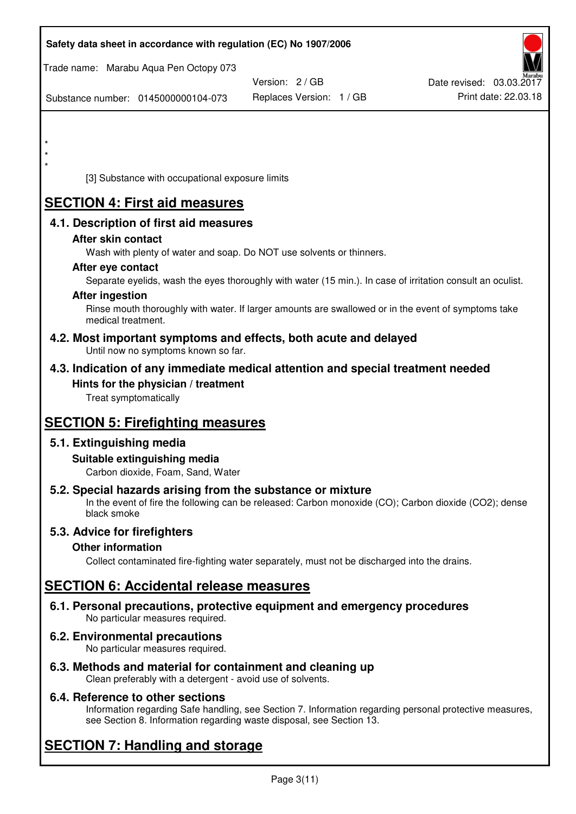| Safety data sheet in accordance with regulation (EC) No 1907/2006                                                                                                                  |                          |                          |
|------------------------------------------------------------------------------------------------------------------------------------------------------------------------------------|--------------------------|--------------------------|
| Trade name: Marabu Aqua Pen Octopy 073                                                                                                                                             |                          |                          |
|                                                                                                                                                                                    | Version: 2 / GB          | Date revised: 03.03.2017 |
| Substance number: 0145000000104-073                                                                                                                                                | Replaces Version: 1 / GB | Print date: 22.03.18     |
|                                                                                                                                                                                    |                          |                          |
|                                                                                                                                                                                    |                          |                          |
| *                                                                                                                                                                                  |                          |                          |
| [3] Substance with occupational exposure limits                                                                                                                                    |                          |                          |
| <b>SECTION 4: First aid measures</b>                                                                                                                                               |                          |                          |
| 4.1. Description of first aid measures                                                                                                                                             |                          |                          |
| After skin contact                                                                                                                                                                 |                          |                          |
| Wash with plenty of water and soap. Do NOT use solvents or thinners.                                                                                                               |                          |                          |
| After eye contact<br>Separate eyelids, wash the eyes thoroughly with water (15 min.). In case of irritation consult an oculist.                                                    |                          |                          |
| <b>After ingestion</b>                                                                                                                                                             |                          |                          |
| Rinse mouth thoroughly with water. If larger amounts are swallowed or in the event of symptoms take<br>medical treatment.                                                          |                          |                          |
| 4.2. Most important symptoms and effects, both acute and delayed<br>Until now no symptoms known so far.                                                                            |                          |                          |
| 4.3. Indication of any immediate medical attention and special treatment needed                                                                                                    |                          |                          |
| Hints for the physician / treatment<br>Treat symptomatically                                                                                                                       |                          |                          |
| <b>SECTION 5: Firefighting measures</b>                                                                                                                                            |                          |                          |
| 5.1. Extinguishing media                                                                                                                                                           |                          |                          |
| Suitable extinguishing media<br>Carbon dioxide, Foam, Sand, Water                                                                                                                  |                          |                          |
| 5.2. Special hazards arising from the substance or mixture<br>In the event of fire the following can be released: Carbon monoxide (CO); Carbon dioxide (CO2); dense<br>black smoke |                          |                          |
| 5.3. Advice for firefighters                                                                                                                                                       |                          |                          |
| <b>Other information</b>                                                                                                                                                           |                          |                          |
| Collect contaminated fire-fighting water separately, must not be discharged into the drains.                                                                                       |                          |                          |
| <b>SECTION 6: Accidental release measures</b>                                                                                                                                      |                          |                          |
| 6.1. Personal precautions, protective equipment and emergency procedures<br>No particular measures required.                                                                       |                          |                          |
| 6.2. Environmental precautions<br>No particular measures required.                                                                                                                 |                          |                          |
| the de end motorial for containment and election                                                                                                                                   |                          |                          |

**6.3. Methods and material for containment and cleaning up**  Clean preferably with a detergent - avoid use of solvents.

## **6.4. Reference to other sections**

Information regarding Safe handling, see Section 7. Information regarding personal protective measures, see Section 8. Information regarding waste disposal, see Section 13.

# **SECTION 7: Handling and storage**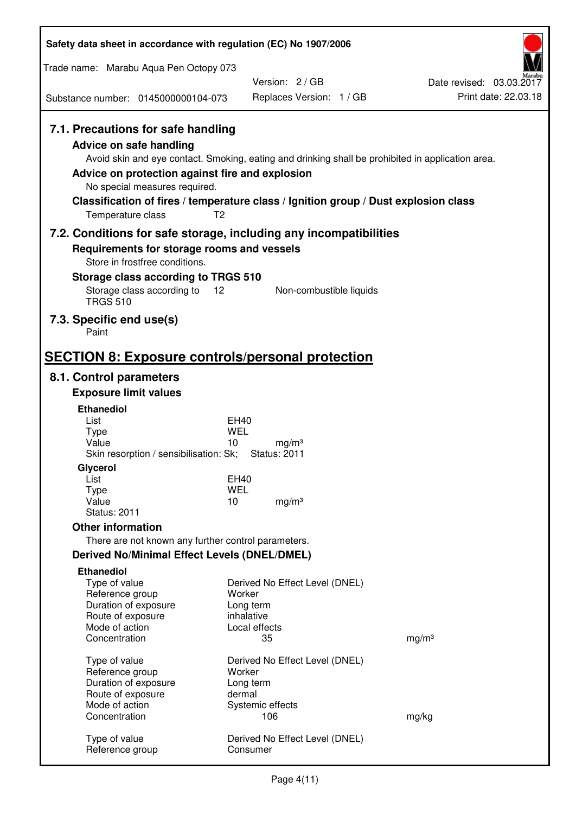| Safety data sheet in accordance with regulation (EC) No 1907/2006                                                                                                                               |                                                                                                                                                                                          |                                                  |
|-------------------------------------------------------------------------------------------------------------------------------------------------------------------------------------------------|------------------------------------------------------------------------------------------------------------------------------------------------------------------------------------------|--------------------------------------------------|
| Trade name: Marabu Aqua Pen Octopy 073                                                                                                                                                          |                                                                                                                                                                                          |                                                  |
| Substance number: 0145000000104-073                                                                                                                                                             | Version: 2/GB<br>Replaces Version: 1 / GB                                                                                                                                                | Date revised: 03.03.2017<br>Print date: 22.03.18 |
|                                                                                                                                                                                                 |                                                                                                                                                                                          |                                                  |
| 7.1. Precautions for safe handling<br><b>Advice on safe handling</b><br>Advice on protection against fire and explosion<br>No special measures required.<br>T <sub>2</sub><br>Temperature class | Avoid skin and eye contact. Smoking, eating and drinking shall be prohibited in application area.<br>Classification of fires / temperature class / Ignition group / Dust explosion class |                                                  |
|                                                                                                                                                                                                 | 7.2. Conditions for safe storage, including any incompatibilities                                                                                                                        |                                                  |
| Requirements for storage rooms and vessels<br>Store in frostfree conditions.<br>Storage class according to TRGS 510                                                                             |                                                                                                                                                                                          |                                                  |
| Storage class according to<br>12<br><b>TRGS 510</b>                                                                                                                                             | Non-combustible liquids                                                                                                                                                                  |                                                  |
| 7.3. Specific end use(s)<br>Paint                                                                                                                                                               |                                                                                                                                                                                          |                                                  |
| <b>SECTION 8: Exposure controls/personal protection</b>                                                                                                                                         |                                                                                                                                                                                          |                                                  |
| 8.1. Control parameters                                                                                                                                                                         |                                                                                                                                                                                          |                                                  |
| <b>Exposure limit values</b>                                                                                                                                                                    |                                                                                                                                                                                          |                                                  |
| <b>Ethanediol</b>                                                                                                                                                                               |                                                                                                                                                                                          |                                                  |
| List<br><b>Type</b>                                                                                                                                                                             | EH40<br>WEL                                                                                                                                                                              |                                                  |
| Value<br>Skin resorption / sensibilisation: Sk;                                                                                                                                                 | 10<br>mg/m <sup>3</sup><br><b>Status: 2011</b>                                                                                                                                           |                                                  |
| Glycerol                                                                                                                                                                                        |                                                                                                                                                                                          |                                                  |
| List                                                                                                                                                                                            | <b>EH40</b>                                                                                                                                                                              |                                                  |
| <b>Type</b><br>Value                                                                                                                                                                            | <b>WEL</b><br>10<br>mg/m <sup>3</sup>                                                                                                                                                    |                                                  |
| <b>Status: 2011</b>                                                                                                                                                                             |                                                                                                                                                                                          |                                                  |
| <b>Other information</b>                                                                                                                                                                        |                                                                                                                                                                                          |                                                  |
| There are not known any further control parameters.                                                                                                                                             |                                                                                                                                                                                          |                                                  |
| <b>Derived No/Minimal Effect Levels (DNEL/DMEL)</b>                                                                                                                                             |                                                                                                                                                                                          |                                                  |
| <b>Ethanediol</b>                                                                                                                                                                               |                                                                                                                                                                                          |                                                  |
| Type of value                                                                                                                                                                                   | Derived No Effect Level (DNEL)                                                                                                                                                           |                                                  |
| Reference group<br>Duration of exposure                                                                                                                                                         | Worker<br>Long term                                                                                                                                                                      |                                                  |
| Route of exposure                                                                                                                                                                               | inhalative                                                                                                                                                                               |                                                  |
| Mode of action                                                                                                                                                                                  | Local effects                                                                                                                                                                            |                                                  |
| Concentration                                                                                                                                                                                   | 35                                                                                                                                                                                       | mg/m <sup>3</sup>                                |
| Type of value                                                                                                                                                                                   | Derived No Effect Level (DNEL)                                                                                                                                                           |                                                  |
| Reference group                                                                                                                                                                                 | Worker                                                                                                                                                                                   |                                                  |
| Duration of exposure                                                                                                                                                                            | Long term                                                                                                                                                                                |                                                  |
| Route of exposure<br>Mode of action                                                                                                                                                             | dermal                                                                                                                                                                                   |                                                  |
| Concentration                                                                                                                                                                                   | Systemic effects<br>106                                                                                                                                                                  | mg/kg                                            |
|                                                                                                                                                                                                 |                                                                                                                                                                                          |                                                  |
| Type of value<br>Reference group                                                                                                                                                                | Derived No Effect Level (DNEL)<br>Consumer                                                                                                                                               |                                                  |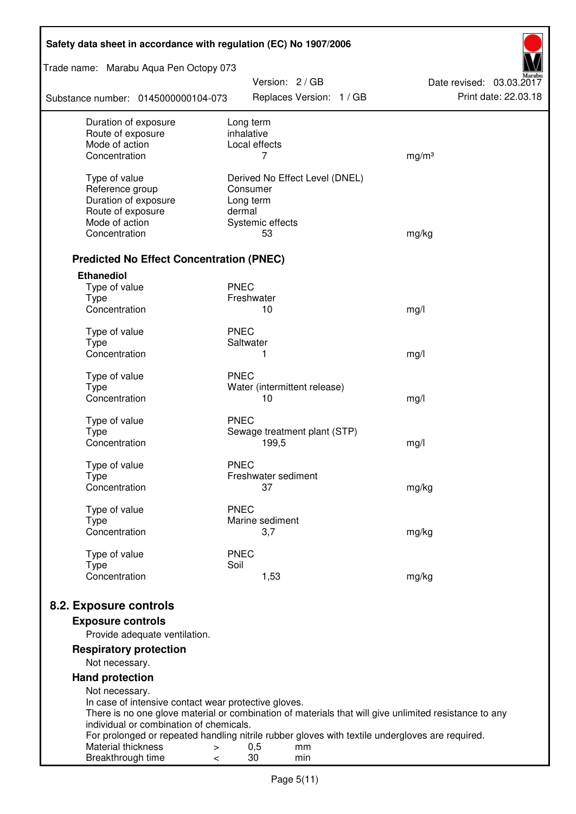| Trade name: Marabu Aqua Pen Octopy 073<br>Version: 2 / GB<br>Date revised: 03.03.2017<br>Print date: 22.03.18<br>Replaces Version: 1 / GB<br>Substance number: 0145000000104-073<br>Duration of exposure<br>Long term<br>inhalative<br>Route of exposure<br>Mode of action<br>Local effects<br>Concentration<br>7<br>mg/m <sup>3</sup><br>Type of value<br>Derived No Effect Level (DNEL) |  |  |  |  |  |
|-------------------------------------------------------------------------------------------------------------------------------------------------------------------------------------------------------------------------------------------------------------------------------------------------------------------------------------------------------------------------------------------|--|--|--|--|--|
|                                                                                                                                                                                                                                                                                                                                                                                           |  |  |  |  |  |
|                                                                                                                                                                                                                                                                                                                                                                                           |  |  |  |  |  |
|                                                                                                                                                                                                                                                                                                                                                                                           |  |  |  |  |  |
|                                                                                                                                                                                                                                                                                                                                                                                           |  |  |  |  |  |
|                                                                                                                                                                                                                                                                                                                                                                                           |  |  |  |  |  |
|                                                                                                                                                                                                                                                                                                                                                                                           |  |  |  |  |  |
|                                                                                                                                                                                                                                                                                                                                                                                           |  |  |  |  |  |
| Reference group<br>Consumer                                                                                                                                                                                                                                                                                                                                                               |  |  |  |  |  |
| Duration of exposure<br>Long term                                                                                                                                                                                                                                                                                                                                                         |  |  |  |  |  |
| Route of exposure<br>dermal<br>Mode of action<br>Systemic effects                                                                                                                                                                                                                                                                                                                         |  |  |  |  |  |
| Concentration<br>53<br>mg/kg                                                                                                                                                                                                                                                                                                                                                              |  |  |  |  |  |
|                                                                                                                                                                                                                                                                                                                                                                                           |  |  |  |  |  |
| <b>Predicted No Effect Concentration (PNEC)</b>                                                                                                                                                                                                                                                                                                                                           |  |  |  |  |  |
| <b>Ethanediol</b>                                                                                                                                                                                                                                                                                                                                                                         |  |  |  |  |  |
| <b>PNEC</b><br>Type of value                                                                                                                                                                                                                                                                                                                                                              |  |  |  |  |  |
| <b>Type</b><br>Freshwater<br>Concentration<br>10                                                                                                                                                                                                                                                                                                                                          |  |  |  |  |  |
| mg/l                                                                                                                                                                                                                                                                                                                                                                                      |  |  |  |  |  |
| <b>PNEC</b><br>Type of value                                                                                                                                                                                                                                                                                                                                                              |  |  |  |  |  |
| <b>Type</b><br>Saltwater                                                                                                                                                                                                                                                                                                                                                                  |  |  |  |  |  |
| Concentration<br>1<br>mg/l                                                                                                                                                                                                                                                                                                                                                                |  |  |  |  |  |
| <b>PNEC</b><br>Type of value                                                                                                                                                                                                                                                                                                                                                              |  |  |  |  |  |
| <b>Type</b><br>Water (intermittent release)                                                                                                                                                                                                                                                                                                                                               |  |  |  |  |  |
| Concentration<br>10<br>mg/l                                                                                                                                                                                                                                                                                                                                                               |  |  |  |  |  |
| <b>PNEC</b><br>Type of value                                                                                                                                                                                                                                                                                                                                                              |  |  |  |  |  |
| <b>Type</b><br>Sewage treatment plant (STP)                                                                                                                                                                                                                                                                                                                                               |  |  |  |  |  |
| Concentration<br>199,5<br>mg/l                                                                                                                                                                                                                                                                                                                                                            |  |  |  |  |  |
| Type of value<br><b>PNEC</b>                                                                                                                                                                                                                                                                                                                                                              |  |  |  |  |  |
| Freshwater sediment<br>Type                                                                                                                                                                                                                                                                                                                                                               |  |  |  |  |  |
| Concentration<br>mg/kg<br>37                                                                                                                                                                                                                                                                                                                                                              |  |  |  |  |  |
| <b>PNEC</b><br>Type of value                                                                                                                                                                                                                                                                                                                                                              |  |  |  |  |  |
| Marine sediment<br><b>Type</b>                                                                                                                                                                                                                                                                                                                                                            |  |  |  |  |  |
| Concentration<br>3,7<br>mg/kg                                                                                                                                                                                                                                                                                                                                                             |  |  |  |  |  |
| Type of value<br><b>PNEC</b>                                                                                                                                                                                                                                                                                                                                                              |  |  |  |  |  |
| <b>Type</b><br>Soil                                                                                                                                                                                                                                                                                                                                                                       |  |  |  |  |  |
| Concentration<br>1,53<br>mg/kg                                                                                                                                                                                                                                                                                                                                                            |  |  |  |  |  |
|                                                                                                                                                                                                                                                                                                                                                                                           |  |  |  |  |  |
| 8.2. Exposure controls                                                                                                                                                                                                                                                                                                                                                                    |  |  |  |  |  |
| <b>Exposure controls</b><br>Provide adequate ventilation.                                                                                                                                                                                                                                                                                                                                 |  |  |  |  |  |
| <b>Respiratory protection</b>                                                                                                                                                                                                                                                                                                                                                             |  |  |  |  |  |
| Not necessary.                                                                                                                                                                                                                                                                                                                                                                            |  |  |  |  |  |
| <b>Hand protection</b>                                                                                                                                                                                                                                                                                                                                                                    |  |  |  |  |  |
| Not necessary.                                                                                                                                                                                                                                                                                                                                                                            |  |  |  |  |  |
| In case of intensive contact wear protective gloves.                                                                                                                                                                                                                                                                                                                                      |  |  |  |  |  |
| There is no one glove material or combination of materials that will give unlimited resistance to any                                                                                                                                                                                                                                                                                     |  |  |  |  |  |
| individual or combination of chemicals.                                                                                                                                                                                                                                                                                                                                                   |  |  |  |  |  |
| For prolonged or repeated handling nitrile rubber gloves with textile undergloves are required.<br>Material thickness<br>0,5<br>mm<br>>                                                                                                                                                                                                                                                   |  |  |  |  |  |
| 30<br>Breakthrough time<br>min<br><                                                                                                                                                                                                                                                                                                                                                       |  |  |  |  |  |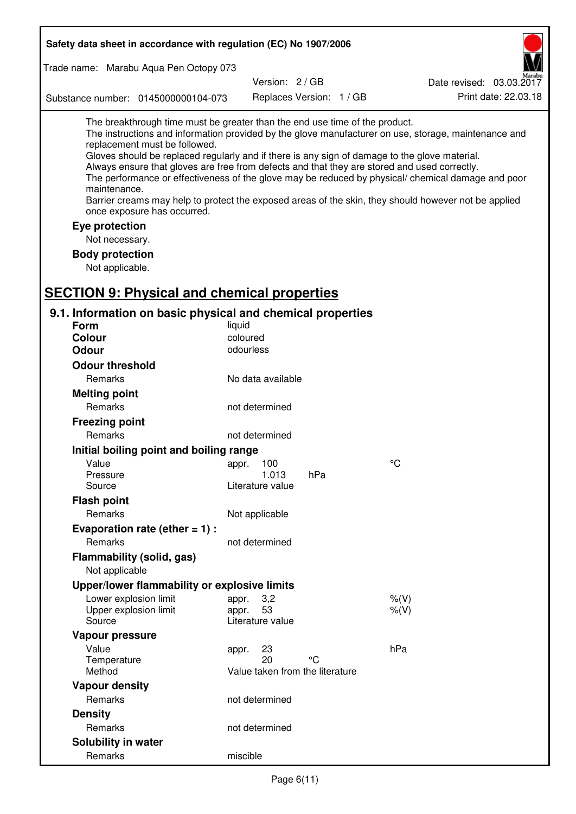| Safety data sheet in accordance with regulation (EC) No 1907/2006                                                                                                                                                                                                                                                                                            |                                 |                          |                                                                                                                                                                                                                                                                                                                    |  |  |
|--------------------------------------------------------------------------------------------------------------------------------------------------------------------------------------------------------------------------------------------------------------------------------------------------------------------------------------------------------------|---------------------------------|--------------------------|--------------------------------------------------------------------------------------------------------------------------------------------------------------------------------------------------------------------------------------------------------------------------------------------------------------------|--|--|
| Trade name: Marabu Aqua Pen Octopy 073                                                                                                                                                                                                                                                                                                                       |                                 |                          |                                                                                                                                                                                                                                                                                                                    |  |  |
|                                                                                                                                                                                                                                                                                                                                                              | Version: 2/GB                   |                          | Date revised: 03.03.2017                                                                                                                                                                                                                                                                                           |  |  |
| Substance number: 0145000000104-073                                                                                                                                                                                                                                                                                                                          |                                 | Replaces Version: 1 / GB | Print date: 22.03.18                                                                                                                                                                                                                                                                                               |  |  |
| The breakthrough time must be greater than the end use time of the product.<br>replacement must be followed.<br>Gloves should be replaced regularly and if there is any sign of damage to the glove material.<br>Always ensure that gloves are free from defects and that they are stored and used correctly.<br>maintenance.<br>once exposure has occurred. |                                 |                          | The instructions and information provided by the glove manufacturer on use, storage, maintenance and<br>The performance or effectiveness of the glove may be reduced by physical/ chemical damage and poor<br>Barrier creams may help to protect the exposed areas of the skin, they should however not be applied |  |  |
| Eye protection                                                                                                                                                                                                                                                                                                                                               |                                 |                          |                                                                                                                                                                                                                                                                                                                    |  |  |
| Not necessary.                                                                                                                                                                                                                                                                                                                                               |                                 |                          |                                                                                                                                                                                                                                                                                                                    |  |  |
| <b>Body protection</b>                                                                                                                                                                                                                                                                                                                                       |                                 |                          |                                                                                                                                                                                                                                                                                                                    |  |  |
| Not applicable.                                                                                                                                                                                                                                                                                                                                              |                                 |                          |                                                                                                                                                                                                                                                                                                                    |  |  |
|                                                                                                                                                                                                                                                                                                                                                              |                                 |                          |                                                                                                                                                                                                                                                                                                                    |  |  |
| <b>SECTION 9: Physical and chemical properties</b>                                                                                                                                                                                                                                                                                                           |                                 |                          |                                                                                                                                                                                                                                                                                                                    |  |  |
| 9.1. Information on basic physical and chemical properties                                                                                                                                                                                                                                                                                                   |                                 |                          |                                                                                                                                                                                                                                                                                                                    |  |  |
| <b>Form</b>                                                                                                                                                                                                                                                                                                                                                  | liquid                          |                          |                                                                                                                                                                                                                                                                                                                    |  |  |
| <b>Colour</b>                                                                                                                                                                                                                                                                                                                                                | coloured                        |                          |                                                                                                                                                                                                                                                                                                                    |  |  |
| <b>Odour</b>                                                                                                                                                                                                                                                                                                                                                 | odourless                       |                          |                                                                                                                                                                                                                                                                                                                    |  |  |
| <b>Odour threshold</b>                                                                                                                                                                                                                                                                                                                                       |                                 |                          |                                                                                                                                                                                                                                                                                                                    |  |  |
| Remarks                                                                                                                                                                                                                                                                                                                                                      | No data available               |                          |                                                                                                                                                                                                                                                                                                                    |  |  |
| <b>Melting point</b>                                                                                                                                                                                                                                                                                                                                         |                                 |                          |                                                                                                                                                                                                                                                                                                                    |  |  |
| Remarks                                                                                                                                                                                                                                                                                                                                                      | not determined                  |                          |                                                                                                                                                                                                                                                                                                                    |  |  |
| <b>Freezing point</b>                                                                                                                                                                                                                                                                                                                                        |                                 |                          |                                                                                                                                                                                                                                                                                                                    |  |  |
| Remarks                                                                                                                                                                                                                                                                                                                                                      | not determined                  |                          |                                                                                                                                                                                                                                                                                                                    |  |  |
| Initial boiling point and boiling range                                                                                                                                                                                                                                                                                                                      |                                 |                          |                                                                                                                                                                                                                                                                                                                    |  |  |
| Value                                                                                                                                                                                                                                                                                                                                                        | appr. 100                       |                          | $\rm ^{\circ}C$                                                                                                                                                                                                                                                                                                    |  |  |
| Pressure<br>Source                                                                                                                                                                                                                                                                                                                                           | 1.013<br>Literature value       | hPa                      |                                                                                                                                                                                                                                                                                                                    |  |  |
| <b>Flash point</b>                                                                                                                                                                                                                                                                                                                                           |                                 |                          |                                                                                                                                                                                                                                                                                                                    |  |  |
| Remarks                                                                                                                                                                                                                                                                                                                                                      | Not applicable                  |                          |                                                                                                                                                                                                                                                                                                                    |  |  |
| Evaporation rate (ether $= 1$ ) :                                                                                                                                                                                                                                                                                                                            |                                 |                          |                                                                                                                                                                                                                                                                                                                    |  |  |
| Remarks                                                                                                                                                                                                                                                                                                                                                      | not determined                  |                          |                                                                                                                                                                                                                                                                                                                    |  |  |
| Flammability (solid, gas)                                                                                                                                                                                                                                                                                                                                    |                                 |                          |                                                                                                                                                                                                                                                                                                                    |  |  |
| Not applicable                                                                                                                                                                                                                                                                                                                                               |                                 |                          |                                                                                                                                                                                                                                                                                                                    |  |  |
| Upper/lower flammability or explosive limits                                                                                                                                                                                                                                                                                                                 |                                 |                          |                                                                                                                                                                                                                                                                                                                    |  |  |
| Lower explosion limit                                                                                                                                                                                                                                                                                                                                        | 3,2<br>appr.                    |                          | $%$ $(V)$                                                                                                                                                                                                                                                                                                          |  |  |
| Upper explosion limit                                                                                                                                                                                                                                                                                                                                        | 53<br>appr.                     |                          | $%$ (V)                                                                                                                                                                                                                                                                                                            |  |  |
| Source                                                                                                                                                                                                                                                                                                                                                       | Literature value                |                          |                                                                                                                                                                                                                                                                                                                    |  |  |
| Vapour pressure                                                                                                                                                                                                                                                                                                                                              |                                 |                          |                                                                                                                                                                                                                                                                                                                    |  |  |
| Value                                                                                                                                                                                                                                                                                                                                                        | 23<br>appr.<br>20               | °C                       | hPa                                                                                                                                                                                                                                                                                                                |  |  |
| Temperature<br>Method                                                                                                                                                                                                                                                                                                                                        | Value taken from the literature |                          |                                                                                                                                                                                                                                                                                                                    |  |  |
| <b>Vapour density</b>                                                                                                                                                                                                                                                                                                                                        |                                 |                          |                                                                                                                                                                                                                                                                                                                    |  |  |
| Remarks                                                                                                                                                                                                                                                                                                                                                      | not determined                  |                          |                                                                                                                                                                                                                                                                                                                    |  |  |
| <b>Density</b>                                                                                                                                                                                                                                                                                                                                               |                                 |                          |                                                                                                                                                                                                                                                                                                                    |  |  |
| Remarks                                                                                                                                                                                                                                                                                                                                                      | not determined                  |                          |                                                                                                                                                                                                                                                                                                                    |  |  |
| Solubility in water                                                                                                                                                                                                                                                                                                                                          |                                 |                          |                                                                                                                                                                                                                                                                                                                    |  |  |
| Remarks                                                                                                                                                                                                                                                                                                                                                      | miscible                        |                          |                                                                                                                                                                                                                                                                                                                    |  |  |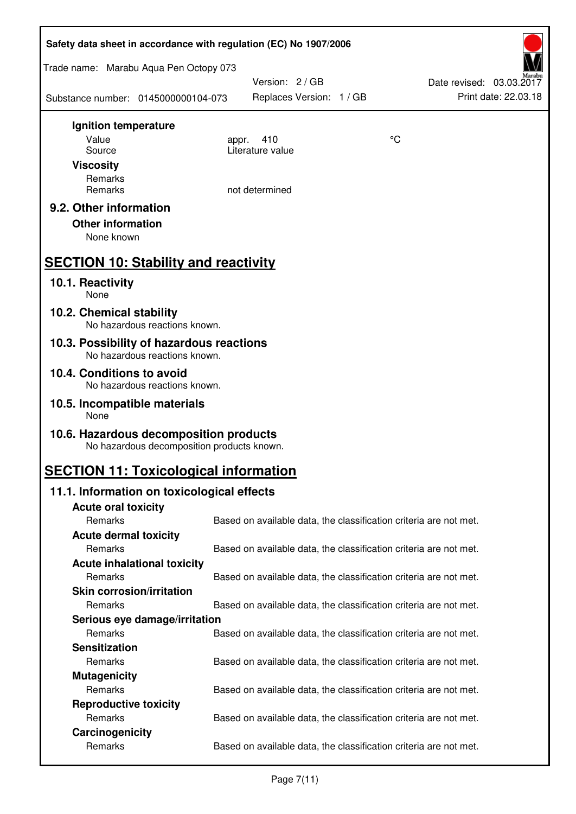| Safety data sheet in accordance with regulation (EC) No 1907/2006                    |       |                                                                   |    |                                                  |
|--------------------------------------------------------------------------------------|-------|-------------------------------------------------------------------|----|--------------------------------------------------|
| Trade name: Marabu Aqua Pen Octopy 073                                               |       |                                                                   |    |                                                  |
| Substance number: 0145000000104-073                                                  |       | Version: 2 / GB<br>Replaces Version: 1 / GB                       |    | Date revised: 03.03.2017<br>Print date: 22.03.18 |
| Ignition temperature                                                                 |       |                                                                   |    |                                                  |
| Value                                                                                | appr. | 410<br>Literature value                                           | °C |                                                  |
| Source<br><b>Viscosity</b>                                                           |       |                                                                   |    |                                                  |
| Remarks                                                                              |       |                                                                   |    |                                                  |
| Remarks                                                                              |       | not determined                                                    |    |                                                  |
| 9.2. Other information                                                               |       |                                                                   |    |                                                  |
| <b>Other information</b>                                                             |       |                                                                   |    |                                                  |
| None known                                                                           |       |                                                                   |    |                                                  |
| <b>SECTION 10: Stability and reactivity</b>                                          |       |                                                                   |    |                                                  |
| 10.1. Reactivity<br>None                                                             |       |                                                                   |    |                                                  |
| 10.2. Chemical stability<br>No hazardous reactions known.                            |       |                                                                   |    |                                                  |
| 10.3. Possibility of hazardous reactions                                             |       |                                                                   |    |                                                  |
| No hazardous reactions known.                                                        |       |                                                                   |    |                                                  |
| 10.4. Conditions to avoid<br>No hazardous reactions known.                           |       |                                                                   |    |                                                  |
| 10.5. Incompatible materials<br>None                                                 |       |                                                                   |    |                                                  |
| 10.6. Hazardous decomposition products<br>No hazardous decomposition products known. |       |                                                                   |    |                                                  |
| <b>SECTION 11: Toxicological information</b>                                         |       |                                                                   |    |                                                  |
| 11.1. Information on toxicological effects                                           |       |                                                                   |    |                                                  |
| <b>Acute oral toxicity</b>                                                           |       |                                                                   |    |                                                  |
| Remarks                                                                              |       | Based on available data, the classification criteria are not met. |    |                                                  |
| <b>Acute dermal toxicity</b><br>Remarks                                              |       | Based on available data, the classification criteria are not met. |    |                                                  |
| <b>Acute inhalational toxicity</b>                                                   |       |                                                                   |    |                                                  |
| Remarks                                                                              |       | Based on available data, the classification criteria are not met. |    |                                                  |
| <b>Skin corrosion/irritation</b>                                                     |       |                                                                   |    |                                                  |
| Remarks                                                                              |       | Based on available data, the classification criteria are not met. |    |                                                  |
| Serious eye damage/irritation                                                        |       |                                                                   |    |                                                  |
| Remarks                                                                              |       | Based on available data, the classification criteria are not met. |    |                                                  |
| <b>Sensitization</b>                                                                 |       |                                                                   |    |                                                  |
| Remarks                                                                              |       | Based on available data, the classification criteria are not met. |    |                                                  |
| <b>Mutagenicity</b><br>Remarks                                                       |       | Based on available data, the classification criteria are not met. |    |                                                  |
| <b>Reproductive toxicity</b>                                                         |       |                                                                   |    |                                                  |
| Remarks                                                                              |       | Based on available data, the classification criteria are not met. |    |                                                  |
| Carcinogenicity                                                                      |       |                                                                   |    |                                                  |
| Remarks                                                                              |       | Based on available data, the classification criteria are not met. |    |                                                  |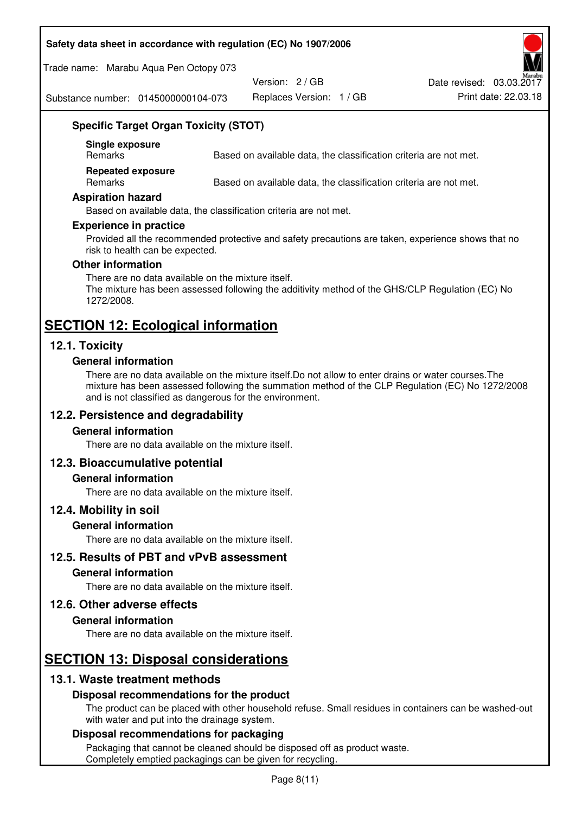#### **Safety data sheet in accordance with regulation (EC) No 1907/2006**

Trade name: Marabu Aqua Pen Octopy 073

Version: 2 / GB

Replaces Version: 1 / GB Print date: 22.03.18 Date revised: 03.03.2017

Substance number: 0145000000104-073

## **Specific Target Organ Toxicity (STOT)**

**Single exposure** 

Based on available data, the classification criteria are not met.

**Repeated exposure** 

Remarks Based on available data, the classification criteria are not met.

#### **Aspiration hazard**

Based on available data, the classification criteria are not met.

#### **Experience in practice**

Provided all the recommended protective and safety precautions are taken, experience shows that no risk to health can be expected.

#### **Other information**

There are no data available on the mixture itself. The mixture has been assessed following the additivity method of the GHS/CLP Regulation (EC) No 1272/2008.

# **SECTION 12: Ecological information**

## **12.1. Toxicity**

#### **General information**

There are no data available on the mixture itself.Do not allow to enter drains or water courses.The mixture has been assessed following the summation method of the CLP Regulation (EC) No 1272/2008 and is not classified as dangerous for the environment.

#### **12.2. Persistence and degradability**

#### **General information**

There are no data available on the mixture itself.

#### **12.3. Bioaccumulative potential**

#### **General information**

There are no data available on the mixture itself.

#### **12.4. Mobility in soil**

#### **General information**

There are no data available on the mixture itself.

#### **12.5. Results of PBT and vPvB assessment**

#### **General information**

There are no data available on the mixture itself.

#### **12.6. Other adverse effects**

#### **General information**

There are no data available on the mixture itself.

## **SECTION 13: Disposal considerations**

## **13.1. Waste treatment methods**

#### **Disposal recommendations for the product**

The product can be placed with other household refuse. Small residues in containers can be washed-out with water and put into the drainage system.

#### **Disposal recommendations for packaging**

Packaging that cannot be cleaned should be disposed off as product waste. Completely emptied packagings can be given for recycling.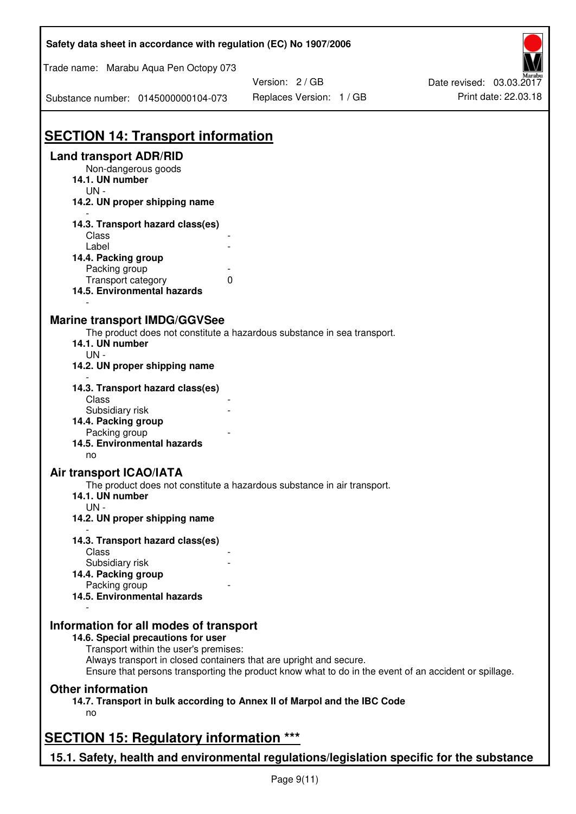| Safety data sheet in accordance with regulation (EC) No 1907/2006                                                                                                           |                          |                          |  |  |  |
|-----------------------------------------------------------------------------------------------------------------------------------------------------------------------------|--------------------------|--------------------------|--|--|--|
| Trade name: Marabu Aqua Pen Octopy 073                                                                                                                                      |                          |                          |  |  |  |
|                                                                                                                                                                             | Version: 2 / GB          | Date revised: 03.03.2017 |  |  |  |
| Substance number: 0145000000104-073                                                                                                                                         | Replaces Version: 1 / GB | Print date: 22.03.18     |  |  |  |
| <b>SECTION 14: Transport information</b>                                                                                                                                    |                          |                          |  |  |  |
| <b>Land transport ADR/RID</b>                                                                                                                                               |                          |                          |  |  |  |
| Non-dangerous goods<br>14.1. UN number<br>$UN -$                                                                                                                            |                          |                          |  |  |  |
| 14.2. UN proper shipping name                                                                                                                                               |                          |                          |  |  |  |
| 14.3. Transport hazard class(es)                                                                                                                                            |                          |                          |  |  |  |
| Class                                                                                                                                                                       |                          |                          |  |  |  |
| Label                                                                                                                                                                       |                          |                          |  |  |  |
| 14.4. Packing group<br>Packing group                                                                                                                                        |                          |                          |  |  |  |
| Transport category<br>0                                                                                                                                                     |                          |                          |  |  |  |
| 14.5. Environmental hazards                                                                                                                                                 |                          |                          |  |  |  |
| <b>Marine transport IMDG/GGVSee</b>                                                                                                                                         |                          |                          |  |  |  |
| The product does not constitute a hazardous substance in sea transport.<br>14.1. UN number                                                                                  |                          |                          |  |  |  |
| $UN -$                                                                                                                                                                      |                          |                          |  |  |  |
| 14.2. UN proper shipping name                                                                                                                                               |                          |                          |  |  |  |
| 14.3. Transport hazard class(es)<br>Class                                                                                                                                   |                          |                          |  |  |  |
| Subsidiary risk                                                                                                                                                             |                          |                          |  |  |  |
| 14.4. Packing group                                                                                                                                                         |                          |                          |  |  |  |
| Packing group                                                                                                                                                               |                          |                          |  |  |  |
| 14.5. Environmental hazards<br>no                                                                                                                                           |                          |                          |  |  |  |
| Air transport ICAO/IATA                                                                                                                                                     |                          |                          |  |  |  |
| The product does not constitute a hazardous substance in air transport.<br>14.1. UN number                                                                                  |                          |                          |  |  |  |
| $UN -$<br>14.2. UN proper shipping name                                                                                                                                     |                          |                          |  |  |  |
|                                                                                                                                                                             |                          |                          |  |  |  |
| 14.3. Transport hazard class(es)                                                                                                                                            |                          |                          |  |  |  |
| Class<br>Subsidiary risk                                                                                                                                                    |                          |                          |  |  |  |
| 14.4. Packing group                                                                                                                                                         |                          |                          |  |  |  |
| Packing group                                                                                                                                                               |                          |                          |  |  |  |
| 14.5. Environmental hazards                                                                                                                                                 |                          |                          |  |  |  |
| Information for all modes of transport                                                                                                                                      |                          |                          |  |  |  |
| 14.6. Special precautions for user<br>Transport within the user's premises:                                                                                                 |                          |                          |  |  |  |
| Always transport in closed containers that are upright and secure.<br>Ensure that persons transporting the product know what to do in the event of an accident or spillage. |                          |                          |  |  |  |
| <b>Other information</b>                                                                                                                                                    |                          |                          |  |  |  |
| 14.7. Transport in bulk according to Annex II of Marpol and the IBC Code<br>no                                                                                              |                          |                          |  |  |  |
| <b>SECTION 15: Regulatory information ***</b>                                                                                                                               |                          |                          |  |  |  |
| 15.1. Safety, health and environmental regulations/legislation specific for the substance                                                                                   |                          |                          |  |  |  |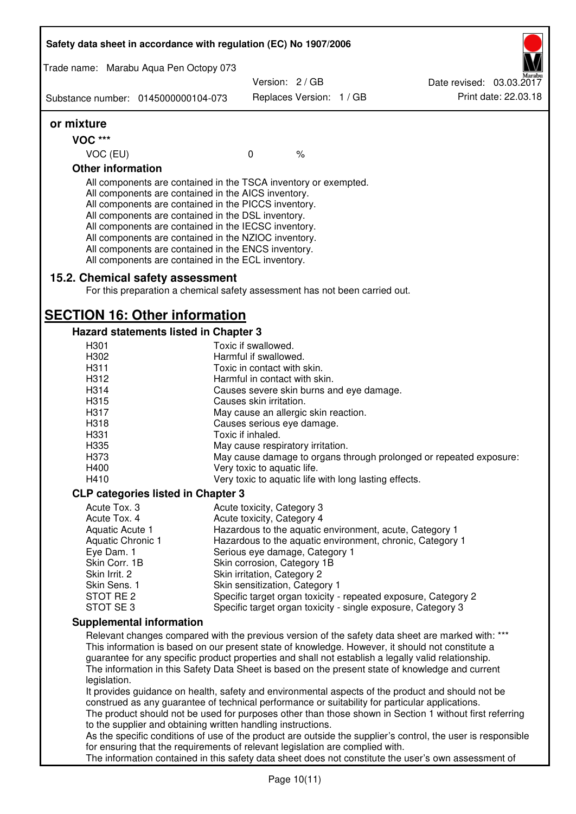|                                                                                                                                                                                                                                                                                                                                                                                 | Safety data sheet in accordance with regulation (EC) No 1907/2006                                                                                                                                                                                                                                                                                                                                                                                                 |                                                        |               |                                                       |                                                                                                                                                                                                                                                                                                                                                                                                                  |
|---------------------------------------------------------------------------------------------------------------------------------------------------------------------------------------------------------------------------------------------------------------------------------------------------------------------------------------------------------------------------------|-------------------------------------------------------------------------------------------------------------------------------------------------------------------------------------------------------------------------------------------------------------------------------------------------------------------------------------------------------------------------------------------------------------------------------------------------------------------|--------------------------------------------------------|---------------|-------------------------------------------------------|------------------------------------------------------------------------------------------------------------------------------------------------------------------------------------------------------------------------------------------------------------------------------------------------------------------------------------------------------------------------------------------------------------------|
| Trade name: Marabu Aqua Pen Octopy 073                                                                                                                                                                                                                                                                                                                                          |                                                                                                                                                                                                                                                                                                                                                                                                                                                                   |                                                        |               |                                                       |                                                                                                                                                                                                                                                                                                                                                                                                                  |
|                                                                                                                                                                                                                                                                                                                                                                                 |                                                                                                                                                                                                                                                                                                                                                                                                                                                                   | Version: 2/GB                                          |               |                                                       | Date revised: 03.03.2017                                                                                                                                                                                                                                                                                                                                                                                         |
| Substance number: 0145000000104-073                                                                                                                                                                                                                                                                                                                                             |                                                                                                                                                                                                                                                                                                                                                                                                                                                                   | Replaces Version: 1 / GB                               |               |                                                       | Print date: 22.03.18                                                                                                                                                                                                                                                                                                                                                                                             |
| or mixture                                                                                                                                                                                                                                                                                                                                                                      |                                                                                                                                                                                                                                                                                                                                                                                                                                                                   |                                                        |               |                                                       |                                                                                                                                                                                                                                                                                                                                                                                                                  |
| <b>VOC ***</b>                                                                                                                                                                                                                                                                                                                                                                  |                                                                                                                                                                                                                                                                                                                                                                                                                                                                   |                                                        |               |                                                       |                                                                                                                                                                                                                                                                                                                                                                                                                  |
| VOC (EU)                                                                                                                                                                                                                                                                                                                                                                        |                                                                                                                                                                                                                                                                                                                                                                                                                                                                   | $\mathbf 0$                                            | $\frac{1}{6}$ |                                                       |                                                                                                                                                                                                                                                                                                                                                                                                                  |
| <b>Other information</b>                                                                                                                                                                                                                                                                                                                                                        |                                                                                                                                                                                                                                                                                                                                                                                                                                                                   |                                                        |               |                                                       |                                                                                                                                                                                                                                                                                                                                                                                                                  |
|                                                                                                                                                                                                                                                                                                                                                                                 | All components are contained in the TSCA inventory or exempted.<br>All components are contained in the AICS inventory.<br>All components are contained in the PICCS inventory.<br>All components are contained in the DSL inventory.<br>All components are contained in the IECSC inventory.<br>All components are contained in the NZIOC inventory.<br>All components are contained in the ENCS inventory.<br>All components are contained in the ECL inventory. |                                                        |               |                                                       |                                                                                                                                                                                                                                                                                                                                                                                                                  |
|                                                                                                                                                                                                                                                                                                                                                                                 | 15.2. Chemical safety assessment<br>For this preparation a chemical safety assessment has not been carried out.                                                                                                                                                                                                                                                                                                                                                   |                                                        |               |                                                       |                                                                                                                                                                                                                                                                                                                                                                                                                  |
|                                                                                                                                                                                                                                                                                                                                                                                 | <b>SECTION 16: Other information</b>                                                                                                                                                                                                                                                                                                                                                                                                                              |                                                        |               |                                                       |                                                                                                                                                                                                                                                                                                                                                                                                                  |
|                                                                                                                                                                                                                                                                                                                                                                                 | Hazard statements listed in Chapter 3                                                                                                                                                                                                                                                                                                                                                                                                                             |                                                        |               |                                                       |                                                                                                                                                                                                                                                                                                                                                                                                                  |
| H <sub>301</sub><br>H302                                                                                                                                                                                                                                                                                                                                                        |                                                                                                                                                                                                                                                                                                                                                                                                                                                                   | Toxic if swallowed.<br>Harmful if swallowed.           |               |                                                       |                                                                                                                                                                                                                                                                                                                                                                                                                  |
| H311                                                                                                                                                                                                                                                                                                                                                                            |                                                                                                                                                                                                                                                                                                                                                                                                                                                                   | Toxic in contact with skin.                            |               |                                                       |                                                                                                                                                                                                                                                                                                                                                                                                                  |
| H312                                                                                                                                                                                                                                                                                                                                                                            |                                                                                                                                                                                                                                                                                                                                                                                                                                                                   | Harmful in contact with skin.                          |               |                                                       |                                                                                                                                                                                                                                                                                                                                                                                                                  |
| H314                                                                                                                                                                                                                                                                                                                                                                            |                                                                                                                                                                                                                                                                                                                                                                                                                                                                   |                                                        |               | Causes severe skin burns and eye damage.              |                                                                                                                                                                                                                                                                                                                                                                                                                  |
| H315                                                                                                                                                                                                                                                                                                                                                                            |                                                                                                                                                                                                                                                                                                                                                                                                                                                                   | Causes skin irritation.                                |               |                                                       |                                                                                                                                                                                                                                                                                                                                                                                                                  |
| H317                                                                                                                                                                                                                                                                                                                                                                            |                                                                                                                                                                                                                                                                                                                                                                                                                                                                   | May cause an allergic skin reaction.                   |               |                                                       |                                                                                                                                                                                                                                                                                                                                                                                                                  |
| H318                                                                                                                                                                                                                                                                                                                                                                            |                                                                                                                                                                                                                                                                                                                                                                                                                                                                   | Causes serious eye damage.                             |               |                                                       |                                                                                                                                                                                                                                                                                                                                                                                                                  |
| H331<br>H335                                                                                                                                                                                                                                                                                                                                                                    |                                                                                                                                                                                                                                                                                                                                                                                                                                                                   | Toxic if inhaled.<br>May cause respiratory irritation. |               |                                                       |                                                                                                                                                                                                                                                                                                                                                                                                                  |
| H373                                                                                                                                                                                                                                                                                                                                                                            |                                                                                                                                                                                                                                                                                                                                                                                                                                                                   |                                                        |               |                                                       | May cause damage to organs through prolonged or repeated exposure:                                                                                                                                                                                                                                                                                                                                               |
| H400                                                                                                                                                                                                                                                                                                                                                                            |                                                                                                                                                                                                                                                                                                                                                                                                                                                                   | Very toxic to aquatic life.                            |               |                                                       |                                                                                                                                                                                                                                                                                                                                                                                                                  |
| H410                                                                                                                                                                                                                                                                                                                                                                            |                                                                                                                                                                                                                                                                                                                                                                                                                                                                   |                                                        |               | Very toxic to aquatic life with long lasting effects. |                                                                                                                                                                                                                                                                                                                                                                                                                  |
|                                                                                                                                                                                                                                                                                                                                                                                 | <b>CLP categories listed in Chapter 3</b>                                                                                                                                                                                                                                                                                                                                                                                                                         |                                                        |               |                                                       |                                                                                                                                                                                                                                                                                                                                                                                                                  |
| Acute Tox. 3                                                                                                                                                                                                                                                                                                                                                                    |                                                                                                                                                                                                                                                                                                                                                                                                                                                                   | Acute toxicity, Category 3                             |               |                                                       |                                                                                                                                                                                                                                                                                                                                                                                                                  |
| Acute Tox. 4                                                                                                                                                                                                                                                                                                                                                                    |                                                                                                                                                                                                                                                                                                                                                                                                                                                                   | Acute toxicity, Category 4                             |               |                                                       |                                                                                                                                                                                                                                                                                                                                                                                                                  |
| Aquatic Acute 1                                                                                                                                                                                                                                                                                                                                                                 |                                                                                                                                                                                                                                                                                                                                                                                                                                                                   |                                                        |               |                                                       | Hazardous to the aquatic environment, acute, Category 1                                                                                                                                                                                                                                                                                                                                                          |
| <b>Aquatic Chronic 1</b><br>Eye Dam. 1                                                                                                                                                                                                                                                                                                                                          |                                                                                                                                                                                                                                                                                                                                                                                                                                                                   | Serious eye damage, Category 1                         |               |                                                       | Hazardous to the aquatic environment, chronic, Category 1                                                                                                                                                                                                                                                                                                                                                        |
| Skin Corr. 1B                                                                                                                                                                                                                                                                                                                                                                   |                                                                                                                                                                                                                                                                                                                                                                                                                                                                   | Skin corrosion, Category 1B                            |               |                                                       |                                                                                                                                                                                                                                                                                                                                                                                                                  |
| Skin Irrit. 2                                                                                                                                                                                                                                                                                                                                                                   |                                                                                                                                                                                                                                                                                                                                                                                                                                                                   | Skin irritation, Category 2                            |               |                                                       |                                                                                                                                                                                                                                                                                                                                                                                                                  |
| Skin Sens. 1                                                                                                                                                                                                                                                                                                                                                                    |                                                                                                                                                                                                                                                                                                                                                                                                                                                                   | Skin sensitization, Category 1                         |               |                                                       |                                                                                                                                                                                                                                                                                                                                                                                                                  |
| STOT RE 2                                                                                                                                                                                                                                                                                                                                                                       |                                                                                                                                                                                                                                                                                                                                                                                                                                                                   |                                                        |               |                                                       | Specific target organ toxicity - repeated exposure, Category 2                                                                                                                                                                                                                                                                                                                                                   |
| STOT SE 3                                                                                                                                                                                                                                                                                                                                                                       |                                                                                                                                                                                                                                                                                                                                                                                                                                                                   |                                                        |               |                                                       | Specific target organ toxicity - single exposure, Category 3                                                                                                                                                                                                                                                                                                                                                     |
| <b>Supplemental information</b>                                                                                                                                                                                                                                                                                                                                                 |                                                                                                                                                                                                                                                                                                                                                                                                                                                                   |                                                        |               |                                                       |                                                                                                                                                                                                                                                                                                                                                                                                                  |
| legislation.                                                                                                                                                                                                                                                                                                                                                                    |                                                                                                                                                                                                                                                                                                                                                                                                                                                                   |                                                        |               |                                                       | Relevant changes compared with the previous version of the safety data sheet are marked with: ***<br>This information is based on our present state of knowledge. However, it should not constitute a<br>guarantee for any specific product properties and shall not establish a legally valid relationship.<br>The information in this Safety Data Sheet is based on the present state of knowledge and current |
| It provides guidance on health, safety and environmental aspects of the product and should not be<br>construed as any guarantee of technical performance or suitability for particular applications.<br>The product should not be used for purposes other than those shown in Section 1 without first referring<br>to the supplier and obtaining written handling instructions. |                                                                                                                                                                                                                                                                                                                                                                                                                                                                   |                                                        |               |                                                       |                                                                                                                                                                                                                                                                                                                                                                                                                  |
| As the specific conditions of use of the product are outside the supplier's control, the user is responsible                                                                                                                                                                                                                                                                    |                                                                                                                                                                                                                                                                                                                                                                                                                                                                   |                                                        |               |                                                       |                                                                                                                                                                                                                                                                                                                                                                                                                  |
| for ensuring that the requirements of relevant legislation are complied with.<br>The information contained in this safety data sheet does not constitute the user's own assessment of                                                                                                                                                                                           |                                                                                                                                                                                                                                                                                                                                                                                                                                                                   |                                                        |               |                                                       |                                                                                                                                                                                                                                                                                                                                                                                                                  |